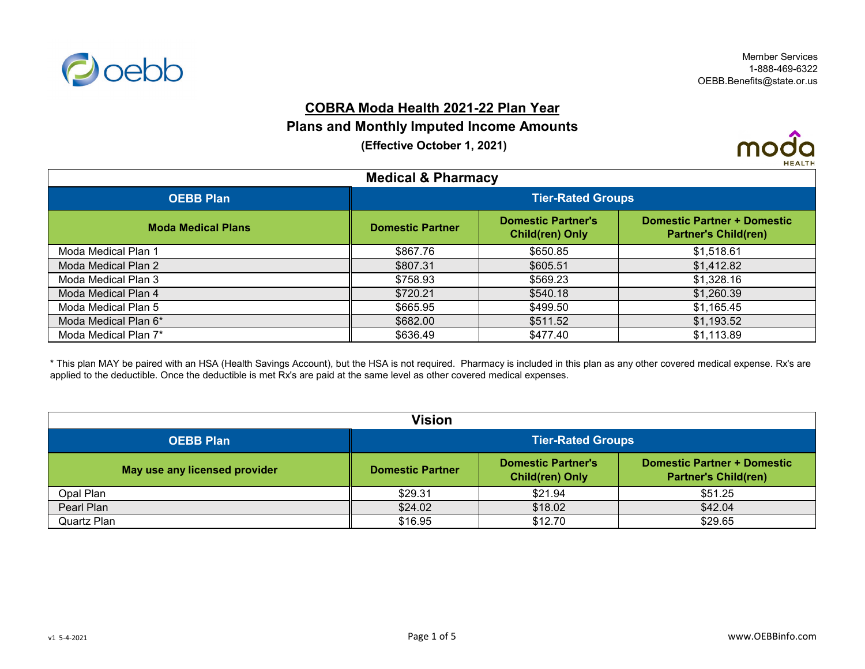

### **COBRA Moda Health 2021-22 Plan Year**

### **Plans and Monthly Imputed Income Amounts**

 **(Effective October 1, 2021)**



| <b>Medical &amp; Pharmacy</b> |                          |                                                     |                                                                   |
|-------------------------------|--------------------------|-----------------------------------------------------|-------------------------------------------------------------------|
| <b>OEBB Plan</b>              | <b>Tier-Rated Groups</b> |                                                     |                                                                   |
| <b>Moda Medical Plans</b>     | <b>Domestic Partner</b>  | <b>Domestic Partner's</b><br><b>Child(ren) Only</b> | <b>Domestic Partner + Domestic</b><br><b>Partner's Child(ren)</b> |
| Moda Medical Plan 1           | \$867.76                 | \$650.85                                            | \$1,518.61                                                        |
| Moda Medical Plan 2           | \$807.31                 | \$605.51                                            | \$1,412.82                                                        |
| Moda Medical Plan 3           | \$758.93                 | \$569.23                                            | \$1,328.16                                                        |
| Moda Medical Plan 4           | \$720.21                 | \$540.18                                            | \$1,260.39                                                        |
| Moda Medical Plan 5           | \$665.95                 | \$499.50                                            | \$1,165.45                                                        |
| Moda Medical Plan 6*          | \$682.00                 | \$511.52                                            | \$1,193.52                                                        |
| Moda Medical Plan 7*          | \$636.49                 | \$477.40                                            | \$1,113.89                                                        |

\* This plan MAY be paired with an HSA (Health Savings Account), but the HSA is not required. Pharmacy is included in this plan as any other covered medical expense. Rx's are applied to the deductible. Once the deductible is met Rx's are paid at the same level as other covered medical expenses.

| Vision                        |                          |                                                     |                                                            |
|-------------------------------|--------------------------|-----------------------------------------------------|------------------------------------------------------------|
| <b>OEBB Plan</b>              | <b>Tier-Rated Groups</b> |                                                     |                                                            |
| May use any licensed provider | <b>Domestic Partner</b>  | <b>Domestic Partner's</b><br><b>Child(ren) Only</b> | Domestic Partner + Domestic<br><b>Partner's Child(ren)</b> |
| Opal Plan                     | \$29.31                  | \$21.94                                             | \$51.25                                                    |
| Pearl Plan                    | \$24.02                  | \$18.02                                             | \$42.04                                                    |
| Quartz Plan                   | \$16.95                  | \$12.70                                             | \$29.65                                                    |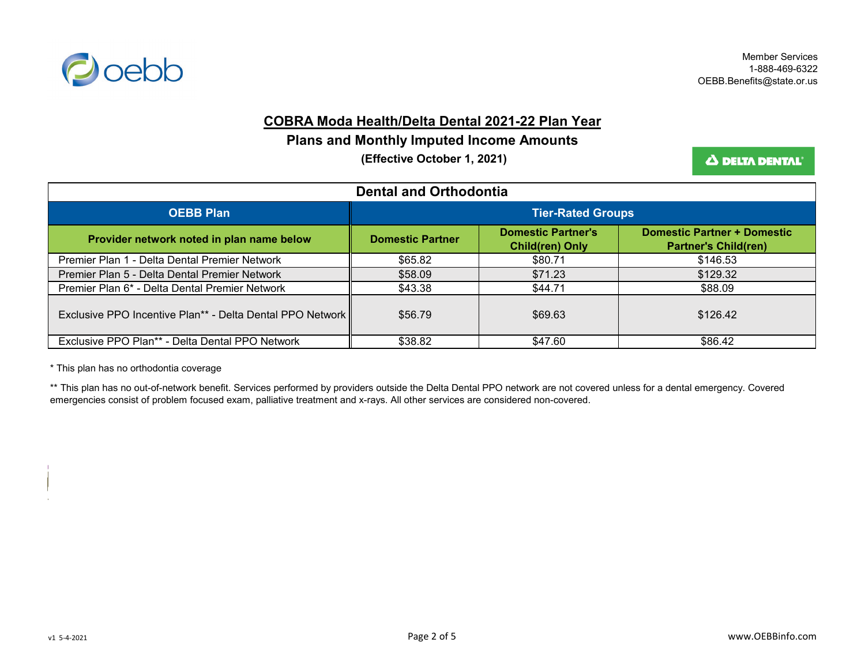

#### **COBRA Moda Health/Delta Dental 2021-22 Plan Year**

### **Plans and Monthly Imputed Income Amounts**

 **(Effective October 1, 2021)**

Δ DELTA DENTAL<sup>®</sup>

| <b>Dental and Orthodontia</b>                             |                          |                                                     |                                                                   |
|-----------------------------------------------------------|--------------------------|-----------------------------------------------------|-------------------------------------------------------------------|
| <b>OEBB Plan</b>                                          | <b>Tier-Rated Groups</b> |                                                     |                                                                   |
| Provider network noted in plan name below                 | Domestic Partner         | <b>Domestic Partner's</b><br><b>Child(ren) Only</b> | <b>Domestic Partner + Domestic</b><br><b>Partner's Child(ren)</b> |
| Premier Plan 1 - Delta Dental Premier Network             | \$65.82                  | \$80.71                                             | \$146.53                                                          |
| Premier Plan 5 - Delta Dental Premier Network             | \$58.09                  | \$71.23                                             | \$129.32                                                          |
| Premier Plan 6* - Delta Dental Premier Network            | \$43.38                  | \$44.71                                             | \$88.09                                                           |
| Exclusive PPO Incentive Plan** - Delta Dental PPO Network | \$56.79                  | \$69.63                                             | \$126.42                                                          |
| Exclusive PPO Plan** - Delta Dental PPO Network           | \$38.82                  | \$47.60                                             | \$86.42                                                           |

\* This plan has no orthodontia coverage

\*\* This plan has no out-of-network benefit. Services performed by providers outside the Delta Dental PPO network are not covered unless for a dental emergency. Covered emergencies consist of problem focused exam, palliative treatment and x-rays. All other services are considered non-covered.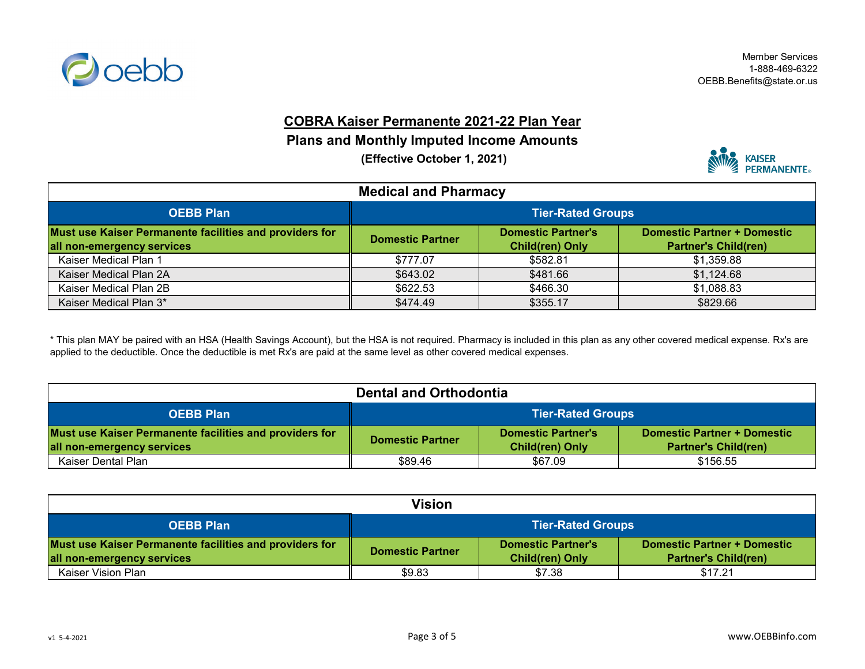

# **COBRA Kaiser Permanente 2021-22 Plan Year**

## **Plans and Monthly Imputed Income Amounts**

 **(Effective October 1, 2021)**



| <b>Medical and Pharmacy</b>                                                           |                                                                                                                                              |          |            |  |
|---------------------------------------------------------------------------------------|----------------------------------------------------------------------------------------------------------------------------------------------|----------|------------|--|
| <b>OEBB Plan</b>                                                                      | <b>Tier-Rated Groups</b>                                                                                                                     |          |            |  |
| Must use Kaiser Permanente facilities and providers for<br>all non-emergency services | Domestic Partner + Domestic<br><b>Domestic Partner's</b><br><b>Domestic Partner</b><br><b>Partner's Child(ren)</b><br><b>Child(ren) Only</b> |          |            |  |
| Kaiser Medical Plan 1                                                                 | \$777.07                                                                                                                                     | \$582.81 | \$1,359.88 |  |
| Kaiser Medical Plan 2A                                                                | \$643.02                                                                                                                                     | \$481.66 | \$1,124.68 |  |
| Kaiser Medical Plan 2B                                                                | \$622.53                                                                                                                                     | \$466.30 | \$1,088.83 |  |
| Kaiser Medical Plan 3*                                                                | \$474.49                                                                                                                                     | \$355.17 | \$829.66   |  |

\* This plan MAY be paired with an HSA (Health Savings Account), but the HSA is not required. Pharmacy is included in this plan as any other covered medical expense. Rx's are applied to the deductible. Once the deductible is met Rx's are paid at the same level as other covered medical expenses.

| <b>Dental and Orthodontia</b>                                                         |                                                                                                                                                     |         |          |  |
|---------------------------------------------------------------------------------------|-----------------------------------------------------------------------------------------------------------------------------------------------------|---------|----------|--|
| <b>OEBB Plan</b>                                                                      | <b>Tier-Rated Groups</b>                                                                                                                            |         |          |  |
| Must use Kaiser Permanente facilities and providers for<br>all non-emergency services | <b>Domestic Partner + Domestic</b><br><b>Domestic Partner's</b><br><b>Domestic Partner</b><br><b>Child(ren) Only</b><br><b>Partner's Child(ren)</b> |         |          |  |
| Kaiser Dental Plan                                                                    | \$89.46                                                                                                                                             | \$67.09 | \$156.55 |  |

| Vision                                                  |                          |                           |                                    |
|---------------------------------------------------------|--------------------------|---------------------------|------------------------------------|
| <b>OEBB Plan</b>                                        | <b>Tier-Rated Groups</b> |                           |                                    |
| Must use Kaiser Permanente facilities and providers for | <b>Domestic Partner</b>  | <b>Domestic Partner's</b> | <b>Domestic Partner + Domestic</b> |
| all non-emergency services                              |                          | <b>Child(ren) Only</b>    | <b>Partner's Child(ren)</b>        |
| Kaiser Vision Plan                                      | \$9.83                   | \$7.38                    | \$17.21                            |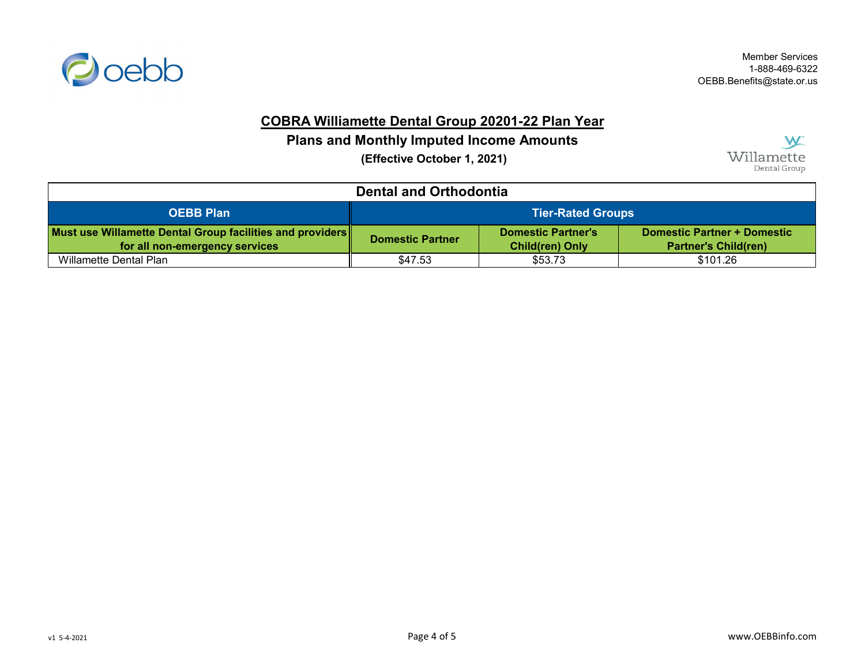

Member Services 1-888-469-6322 OEBB.Benefits@state.or.us

### **COBRA Williamette Dental Group 20201-22 Plan Year**

## **Plans and Monthly Imputed Income Amounts**

 **(Effective October 1, 2021)**



| <b>Dental and Orthodontia</b>                                                               |                                                                                                                                                     |         |          |  |
|---------------------------------------------------------------------------------------------|-----------------------------------------------------------------------------------------------------------------------------------------------------|---------|----------|--|
| <b>OEBB Plan</b>                                                                            | <b>Tier-Rated Groups</b>                                                                                                                            |         |          |  |
| Must use Willamette Dental Group facilities and providers<br>for all non-emergency services | <b>Domestic Partner + Domestic</b><br><b>Domestic Partner's</b><br><b>Domestic Partner</b><br><b>Child(ren) Only</b><br><b>Partner's Child(ren)</b> |         |          |  |
| Willamette Dental Plan                                                                      | \$47.53                                                                                                                                             | \$53.73 | \$101.26 |  |